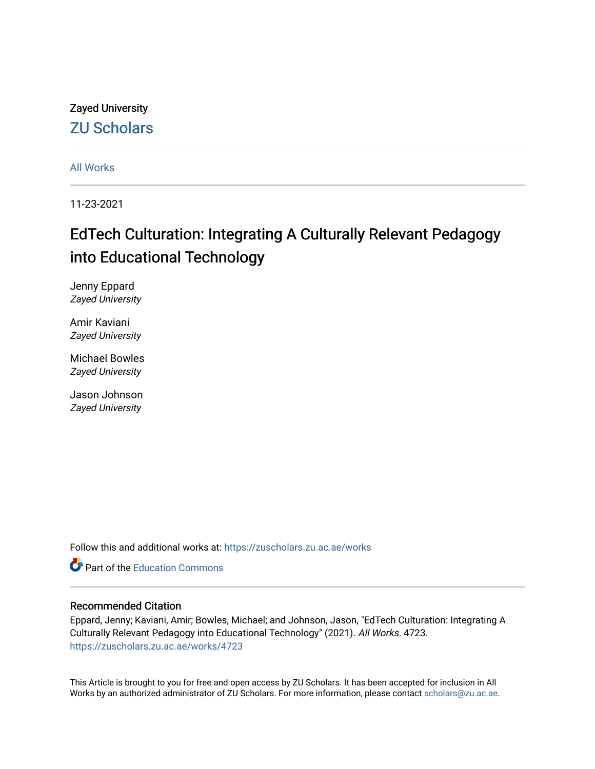Zayed University [ZU Scholars](https://zuscholars.zu.ac.ae/) 

[All Works](https://zuscholars.zu.ac.ae/works)

11-23-2021

# EdTech Culturation: Integrating A Culturally Relevant Pedagogy into Educational Technology

Jenny Eppard Zayed University

Amir Kaviani Zayed University

Michael Bowles Zayed University

Jason Johnson Zayed University

Follow this and additional works at: [https://zuscholars.zu.ac.ae/works](https://zuscholars.zu.ac.ae/works?utm_source=zuscholars.zu.ac.ae%2Fworks%2F4723&utm_medium=PDF&utm_campaign=PDFCoverPages)

**C** Part of the [Education Commons](http://network.bepress.com/hgg/discipline/784?utm_source=zuscholars.zu.ac.ae%2Fworks%2F4723&utm_medium=PDF&utm_campaign=PDFCoverPages)

## Recommended Citation

Eppard, Jenny; Kaviani, Amir; Bowles, Michael; and Johnson, Jason, "EdTech Culturation: Integrating A Culturally Relevant Pedagogy into Educational Technology" (2021). All Works. 4723. [https://zuscholars.zu.ac.ae/works/4723](https://zuscholars.zu.ac.ae/works/4723?utm_source=zuscholars.zu.ac.ae%2Fworks%2F4723&utm_medium=PDF&utm_campaign=PDFCoverPages)

This Article is brought to you for free and open access by ZU Scholars. It has been accepted for inclusion in All Works by an authorized administrator of ZU Scholars. For more information, please contact [scholars@zu.ac.ae](mailto:scholars@zu.ac.ae).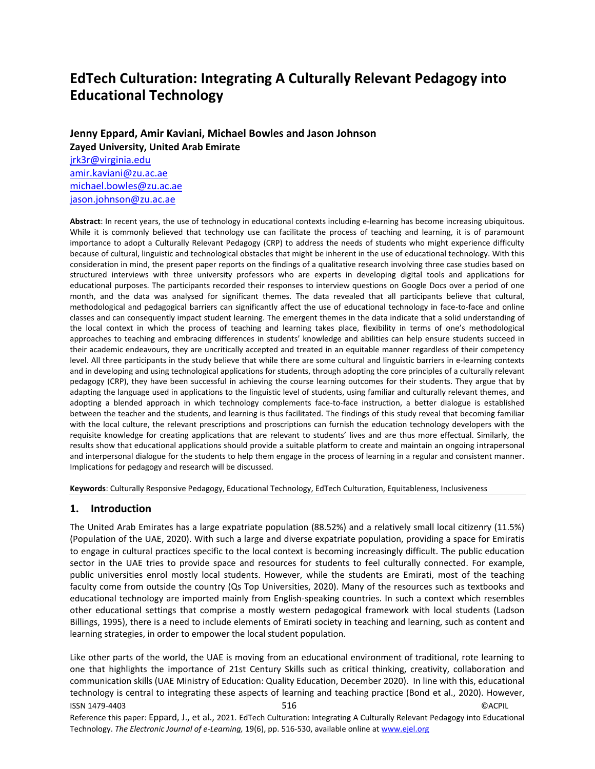## **EdTech Culturation: Integrating A Culturally Relevant Pedagogy into Educational Technology**

**Jenny Eppard, Amir Kaviani, Michael Bowles and Jason Johnson Zayed University, United Arab Emirate** jrk3r@virginia.edu amir.kaviani@zu.ac.ae michael.bowles@zu.ac.ae

jason.johnson@zu.ac.ae

**Abstract**: In recent years, the use of technology in educational contexts including e-learning has become increasing ubiquitous. While it is commonly believed that technology use can facilitate the process of teaching and learning, it is of paramount importance to adopt a Culturally Relevant Pedagogy (CRP) to address the needs of students who might experience difficulty because of cultural, linguistic and technological obstacles that might be inherent in the use of educational technology. With this consideration in mind, the present paper reports on the findings of a qualitative research involving three case studies based on structured interviews with three university professors who are experts in developing digital tools and applications for educational purposes. The participants recorded their responses to interview questions on Google Docs over a period of one month, and the data was analysed for significant themes. The data revealed that all participants believe that cultural, methodological and pedagogical barriers can significantly affect the use of educational technology in face-to-face and online classes and can consequently impact student learning. The emergent themes in the data indicate that a solid understanding of the local context in which the process of teaching and learning takes place, flexibility in terms of one's methodological approaches to teaching and embracing differences in students' knowledge and abilities can help ensure students succeed in their academic endeavours, they are uncritically accepted and treated in an equitable manner regardless of their competency level. All three participants in the study believe that while there are some cultural and linguistic barriers in e-learning contexts and in developing and using technological applications for students, through adopting the core principles of a culturally relevant pedagogy (CRP), they have been successful in achieving the course learning outcomes for their students. They argue that by adapting the language used in applications to the linguistic level of students, using familiar and culturally relevant themes, and adopting a blended approach in which technology complements face-to-face instruction, a better dialogue is established between the teacher and the students, and learning is thus facilitated. The findings of this study reveal that becoming familiar with the local culture, the relevant prescriptions and proscriptions can furnish the education technology developers with the requisite knowledge for creating applications that are relevant to students' lives and are thus more effectual. Similarly, the results show that educational applications should provide a suitable platform to create and maintain an ongoing intrapersonal and interpersonal dialogue for the students to help them engage in the process of learning in a regular and consistent manner. Implications for pedagogy and research will be discussed.

**Keywords**: Culturally Responsive Pedagogy, Educational Technology, EdTech Culturation, Equitableness, Inclusiveness

#### **1. Introduction**

The United Arab Emirates has a large expatriate population (88.52%) and a relatively small local citizenry (11.5%) (Population of the UAE, 2020). With such a large and diverse expatriate population, providing a space for Emiratis to engage in cultural practices specific to the local context is becoming increasingly difficult. The public education sector in the UAE tries to provide space and resources for students to feel culturally connected. For example, public universities enrol mostly local students. However, while the students are Emirati, most of the teaching faculty come from outside the country (Qs Top Universities, 2020). Many of the resources such as textbooks and educational technology are imported mainly from English-speaking countries. In such a context which resembles other educational settings that comprise a mostly western pedagogical framework with local students (Ladson Billings, 1995), there is a need to include elements of Emirati society in teaching and learning, such as content and learning strategies, in order to empower the local student population.

ISSN 1479-4403 516 ©ACPIL Reference this paper: Eppard, J., et al., 2021. EdTech Culturation: Integrating A Culturally Relevant Pedagogy into Educational Like other parts of the world, the UAE is moving from an educational environment of traditional, rote learning to one that highlights the importance of 21st Century Skills such as critical thinking, creativity, collaboration and communication skills (UAE Ministry of Education: Quality Education, December 2020). In line with this, educational technology is central to integrating these aspects of learning and teaching practice (Bond et al., 2020). However,

Technology. *The Electronic Journal of e-Learning,* 19(6), pp. 516-530, available online at www.ejel.org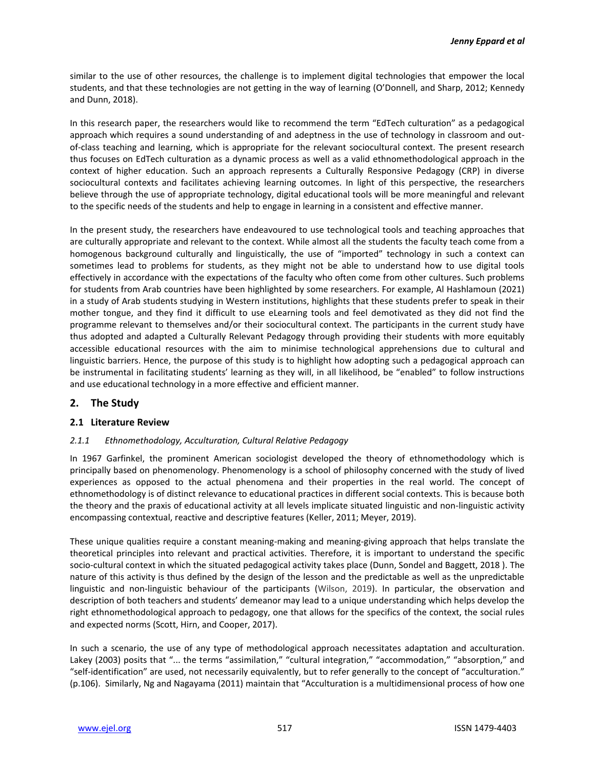similar to the use of other resources, the challenge is to implement digital technologies that empower the local students, and that these technologies are not getting in the way of learning (O'Donnell, and Sharp, 2012; Kennedy and Dunn, 2018).

In this research paper, the researchers would like to recommend the term "EdTech culturation" as a pedagogical approach which requires a sound understanding of and adeptness in the use of technology in classroom and outof-class teaching and learning, which is appropriate for the relevant sociocultural context. The present research thus focuses on EdTech culturation as a dynamic process as well as a valid ethnomethodological approach in the context of higher education. Such an approach represents a Culturally Responsive Pedagogy (CRP) in diverse sociocultural contexts and facilitates achieving learning outcomes. In light of this perspective, the researchers believe through the use of appropriate technology, digital educational tools will be more meaningful and relevant to the specific needs of the students and help to engage in learning in a consistent and effective manner.

In the present study, the researchers have endeavoured to use technological tools and teaching approaches that are culturally appropriate and relevant to the context. While almost all the students the faculty teach come from a homogenous background culturally and linguistically, the use of "imported" technology in such a context can sometimes lead to problems for students, as they might not be able to understand how to use digital tools effectively in accordance with the expectations of the faculty who often come from other cultures. Such problems for students from Arab countries have been highlighted by some researchers. For example, Al Hashlamoun (2021) in a study of Arab students studying in Western institutions, highlights that these students prefer to speak in their mother tongue, and they find it difficult to use eLearning tools and feel demotivated as they did not find the programme relevant to themselves and/or their sociocultural context. The participants in the current study have thus adopted and adapted a Culturally Relevant Pedagogy through providing their students with more equitably accessible educational resources with the aim to minimise technological apprehensions due to cultural and linguistic barriers. Hence, the purpose of this study is to highlight how adopting such a pedagogical approach can be instrumental in facilitating students' learning as they will, in all likelihood, be "enabled" to follow instructions and use educational technology in a more effective and efficient manner.

## **2. The Study**

#### **2.1 Literature Review**

#### *2.1.1 Ethnomethodology, Acculturation, Cultural Relative Pedagogy*

In 1967 Garfinkel, the prominent American sociologist developed the theory of ethnomethodology which is principally based on phenomenology. Phenomenology is a school of philosophy concerned with the study of lived experiences as opposed to the actual phenomena and their properties in the real world. The concept of ethnomethodology is of distinct relevance to educational practices in different social contexts. This is because both the theory and the praxis of educational activity at all levels implicate situated linguistic and non-linguistic activity encompassing contextual, reactive and descriptive features (Keller, 2011; Meyer, 2019).

These unique qualities require a constant meaning-making and meaning-giving approach that helps translate the theoretical principles into relevant and practical activities. Therefore, it is important to understand the specific socio-cultural context in which the situated pedagogical activity takes place (Dunn, Sondel and Baggett, 2018 ). The nature of this activity is thus defined by the design of the lesson and the predictable as well as the unpredictable linguistic and non-linguistic behaviour of the participants (Wilson, 2019). In particular, the observation and description of both teachers and students' demeanor may lead to a unique understanding which helps develop the right ethnomethodological approach to pedagogy, one that allows for the specifics of the context, the social rules and expected norms (Scott, Hirn, and Cooper, 2017).

In such a scenario, the use of any type of methodological approach necessitates adaptation and acculturation. Lakey (2003) posits that "... the terms "assimilation," "cultural integration," "accommodation," "absorption," and "self-identification" are used, not necessarily equivalently, but to refer generally to the concept of "acculturation." (p.106). Similarly, Ng and Nagayama (2011) maintain that "Acculturation is a multidimensional process of how one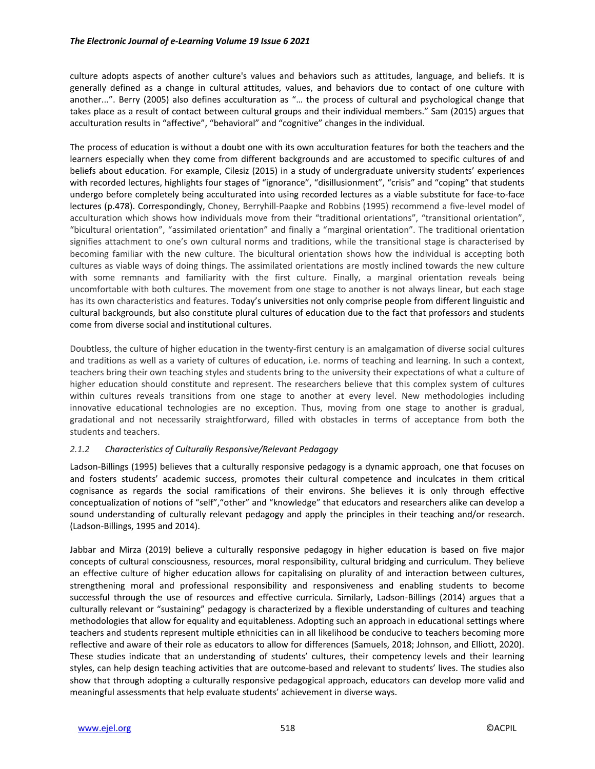culture adopts aspects of another culture's values and behaviors such as attitudes, language, and beliefs. It is generally defined as a change in cultural attitudes, values, and behaviors due to contact of one culture with another...". Berry (2005) also defines acculturation as "… the process of cultural and psychological change that takes place as a result of contact between cultural groups and their individual members." Sam (2015) argues that acculturation results in "affective", "behavioral" and "cognitive" changes in the individual.

The process of education is without a doubt one with its own acculturation features for both the teachers and the learners especially when they come from different backgrounds and are accustomed to specific cultures of and beliefs about education. For example, Cilesiz (2015) in a study of undergraduate university students' experiences with recorded lectures, highlights four stages of "ignorance", "disillusionment", "crisis" and "coping" that students undergo before completely being acculturated into using recorded lectures as a viable substitute for face-to-face lectures (p.478). Correspondingly, Choney, Berryhill-Paapke and Robbins (1995) recommend a five-level model of acculturation which shows how individuals move from their "traditional orientations", "transitional orientation", "bicultural orientation", "assimilated orientation" and finally a "marginal orientation". The traditional orientation signifies attachment to one's own cultural norms and traditions, while the transitional stage is characterised by becoming familiar with the new culture. The bicultural orientation shows how the individual is accepting both cultures as viable ways of doing things. The assimilated orientations are mostly inclined towards the new culture with some remnants and familiarity with the first culture. Finally, a marginal orientation reveals being uncomfortable with both cultures. The movement from one stage to another is not always linear, but each stage has its own characteristics and features. Today's universities not only comprise people from different linguistic and cultural backgrounds, but also constitute plural cultures of education due to the fact that professors and students come from diverse social and institutional cultures.

Doubtless, the culture of higher education in the twenty-first century is an amalgamation of diverse social cultures and traditions as well as a variety of cultures of education, i.e. norms of teaching and learning. In such a context, teachers bring their own teaching styles and students bring to the university their expectations of what a culture of higher education should constitute and represent. The researchers believe that this complex system of cultures within cultures reveals transitions from one stage to another at every level. New methodologies including innovative educational technologies are no exception. Thus, moving from one stage to another is gradual, gradational and not necessarily straightforward, filled with obstacles in terms of acceptance from both the students and teachers.

#### *2.1.2 Characteristics of Culturally Responsive/Relevant Pedagogy*

Ladson-Billings (1995) believes that a culturally responsive pedagogy is a dynamic approach, one that focuses on and fosters students' academic success, promotes their cultural competence and inculcates in them critical cognisance as regards the social ramifications of their environs. She believes it is only through effective conceptualization of notions of "self","other" and "knowledge" that educators and researchers alike can develop a sound understanding of culturally relevant pedagogy and apply the principles in their teaching and/or research. (Ladson-Billings, 1995 and 2014).

Jabbar and Mirza (2019) believe a culturally responsive pedagogy in higher education is based on five major concepts of cultural consciousness, resources, moral responsibility, cultural bridging and curriculum. They believe an effective culture of higher education allows for capitalising on plurality of and interaction between cultures, strengthening moral and professional responsibility and responsiveness and enabling students to become successful through the use of resources and effective curricula. Similarly, Ladson-Billings (2014) argues that a culturally relevant or "sustaining" pedagogy is characterized by a flexible understanding of cultures and teaching methodologies that allow for equality and equitableness. Adopting such an approach in educational settings where teachers and students represent multiple ethnicities can in all likelihood be conducive to teachers becoming more reflective and aware of their role as educators to allow for differences (Samuels, 2018; Johnson, and Elliott, 2020). These studies indicate that an understanding of students' cultures, their competency levels and their learning styles, can help design teaching activities that are outcome-based and relevant to students' lives. The studies also show that through adopting a culturally responsive pedagogical approach, educators can develop more valid and meaningful assessments that help evaluate students' achievement in diverse ways.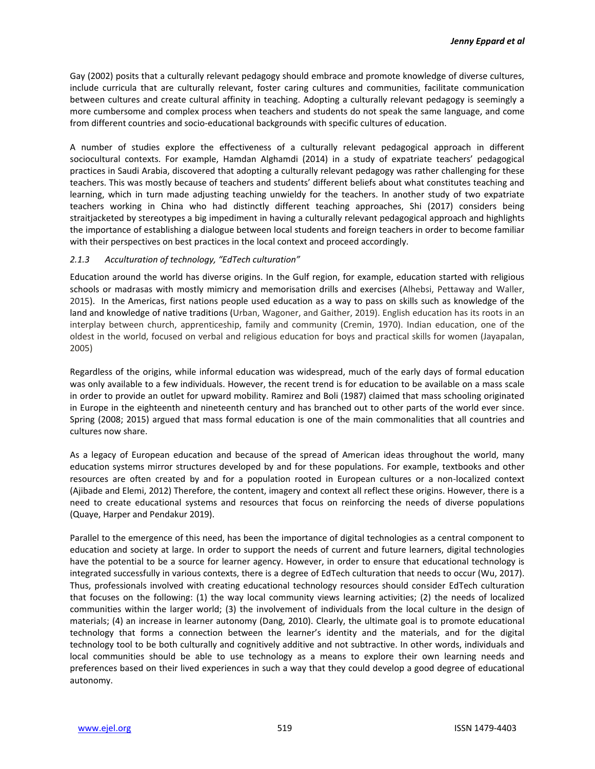Gay (2002) posits that a culturally relevant pedagogy should embrace and promote knowledge of diverse cultures, include curricula that are culturally relevant, foster caring cultures and communities, facilitate communication between cultures and create cultural affinity in teaching. Adopting a culturally relevant pedagogy is seemingly a more cumbersome and complex process when teachers and students do not speak the same language, and come from different countries and socio-educational backgrounds with specific cultures of education.

A number of studies explore the effectiveness of a culturally relevant pedagogical approach in different sociocultural contexts. For example, Hamdan Alghamdi (2014) in a study of expatriate teachers' pedagogical practices in Saudi Arabia, discovered that adopting a culturally relevant pedagogy was rather challenging for these teachers. This was mostly because of teachers and students' different beliefs about what constitutes teaching and learning, which in turn made adjusting teaching unwieldy for the teachers. In another study of two expatriate teachers working in China who had distinctly different teaching approaches, Shi (2017) considers being straitjacketed by stereotypes a big impediment in having a culturally relevant pedagogical approach and highlights the importance of establishing a dialogue between local students and foreign teachers in order to become familiar with their perspectives on best practices in the local context and proceed accordingly.

#### *2.1.3 Acculturation of technology, "EdTech culturation"*

Education around the world has diverse origins. In the Gulf region, for example, education started with religious schools or madrasas with mostly mimicry and memorisation drills and exercises (Alhebsi, Pettaway and Waller, 2015). In the Americas, first nations people used education as a way to pass on skills such as knowledge of the land and knowledge of native traditions (Urban, Wagoner, and Gaither, 2019). English education has its roots in an interplay between church, apprenticeship, family and community (Cremin, 1970). Indian education, one of the oldest in the world, focused on verbal and religious education for boys and practical skills for women (Jayapalan, 2005)

Regardless of the origins, while informal education was widespread, much of the early days of formal education was only available to a few individuals. However, the recent trend is for education to be available on a mass scale in order to provide an outlet for upward mobility. Ramirez and Boli (1987) claimed that mass schooling originated in Europe in the eighteenth and nineteenth century and has branched out to other parts of the world ever since. Spring (2008; 2015) argued that mass formal education is one of the main commonalities that all countries and cultures now share.

As a legacy of European education and because of the spread of American ideas throughout the world, many education systems mirror structures developed by and for these populations. For example, textbooks and other resources are often created by and for a population rooted in European cultures or a non-localized context (Ajibade and Elemi, 2012) Therefore, the content, imagery and context all reflect these origins. However, there is a need to create educational systems and resources that focus on reinforcing the needs of diverse populations (Quaye, Harper and Pendakur 2019).

Parallel to the emergence of this need, has been the importance of digital technologies as a central component to education and society at large. In order to support the needs of current and future learners, digital technologies have the potential to be a source for learner agency. However, in order to ensure that educational technology is integrated successfully in various contexts, there is a degree of EdTech culturation that needs to occur (Wu, 2017). Thus, professionals involved with creating educational technology resources should consider EdTech culturation that focuses on the following: (1) the way local community views learning activities; (2) the needs of localized communities within the larger world; (3) the involvement of individuals from the local culture in the design of materials; (4) an increase in learner autonomy (Dang, 2010). Clearly, the ultimate goal is to promote educational technology that forms a connection between the learner's identity and the materials, and for the digital technology tool to be both culturally and cognitively additive and not subtractive. In other words, individuals and local communities should be able to use technology as a means to explore their own learning needs and preferences based on their lived experiences in such a way that they could develop a good degree of educational autonomy.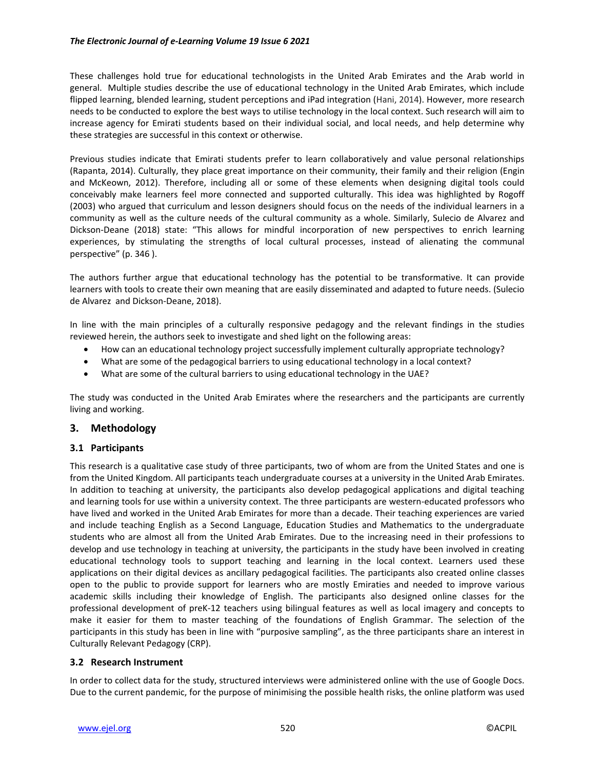#### *The Electronic Journal of e-Learning Volume 19 Issue 6 2021*

These challenges hold true for educational technologists in the United Arab Emirates and the Arab world in general. Multiple studies describe the use of educational technology in the United Arab Emirates, which include flipped learning, blended learning, student perceptions and iPad integration (Hani, 2014). However, more research needs to be conducted to explore the best ways to utilise technology in the local context. Such research will aim to increase agency for Emirati students based on their individual social, and local needs, and help determine why these strategies are successful in this context or otherwise.

Previous studies indicate that Emirati students prefer to learn collaboratively and value personal relationships (Rapanta, 2014). Culturally, they place great importance on their community, their family and their religion (Engin and McKeown, 2012). Therefore, including all or some of these elements when designing digital tools could conceivably make learners feel more connected and supported culturally. This idea was highlighted by Rogoff (2003) who argued that curriculum and lesson designers should focus on the needs of the individual learners in a community as well as the culture needs of the cultural community as a whole. Similarly, Sulecio de Alvarez and Dickson-Deane (2018) state: "This allows for mindful incorporation of new perspectives to enrich learning experiences, by stimulating the strengths of local cultural processes, instead of alienating the communal perspective" (p. 346 ).

The authors further argue that educational technology has the potential to be transformative. It can provide learners with tools to create their own meaning that are easily disseminated and adapted to future needs. (Sulecio de Alvarez and Dickson-Deane, 2018).

In line with the main principles of a culturally responsive pedagogy and the relevant findings in the studies reviewed herein, the authors seek to investigate and shed light on the following areas:

- How can an educational technology project successfully implement culturally appropriate technology?
- What are some of the pedagogical barriers to using educational technology in a local context?
- What are some of the cultural barriers to using educational technology in the UAE?

The study was conducted in the United Arab Emirates where the researchers and the participants are currently living and working.

## **3. Methodology**

#### **3.1 Participants**

This research is a qualitative case study of three participants, two of whom are from the United States and one is from the United Kingdom. All participants teach undergraduate courses at a university in the United Arab Emirates. In addition to teaching at university, the participants also develop pedagogical applications and digital teaching and learning tools for use within a university context. The three participants are western-educated professors who have lived and worked in the United Arab Emirates for more than a decade. Their teaching experiences are varied and include teaching English as a Second Language, Education Studies and Mathematics to the undergraduate students who are almost all from the United Arab Emirates. Due to the increasing need in their professions to develop and use technology in teaching at university, the participants in the study have been involved in creating educational technology tools to support teaching and learning in the local context. Learners used these applications on their digital devices as ancillary pedagogical facilities. The participants also created online classes open to the public to provide support for learners who are mostly Emiraties and needed to improve various academic skills including their knowledge of English. The participants also designed online classes for the professional development of preK-12 teachers using bilingual features as well as local imagery and concepts to make it easier for them to master teaching of the foundations of English Grammar. The selection of the participants in this study has been in line with "purposive sampling", as the three participants share an interest in Culturally Relevant Pedagogy (CRP).

#### **3.2 Research Instrument**

In order to collect data for the study, structured interviews were administered online with the use of Google Docs. Due to the current pandemic, for the purpose of minimising the possible health risks, the online platform was used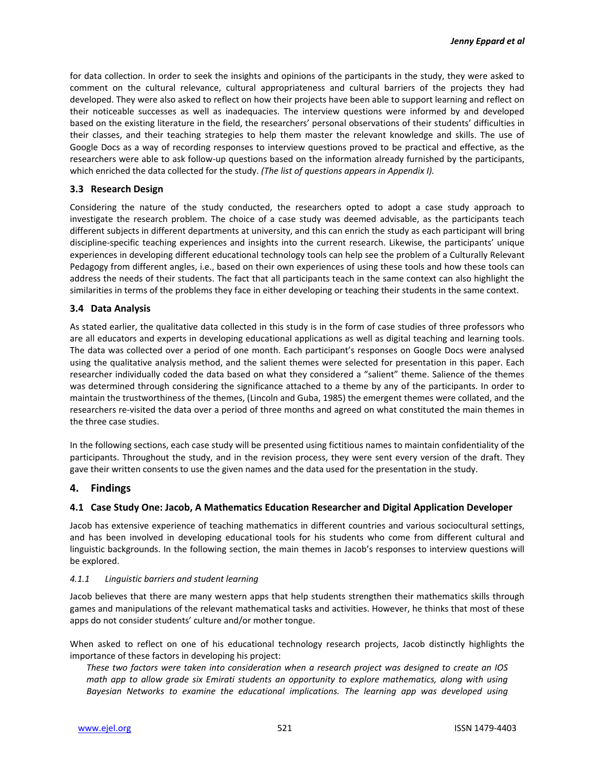for data collection. In order to seek the insights and opinions of the participants in the study, they were asked to comment on the cultural relevance, cultural appropriateness and cultural barriers of the projects they had developed. They were also asked to reflect on how their projects have been able to support learning and reflect on their noticeable successes as well as inadequacies. The interview questions were informed by and developed based on the existing literature in the field, the researchers' personal observations of their students' difficulties in their classes, and their teaching strategies to help them master the relevant knowledge and skills. The use of Google Docs as a way of recording responses to interview questions proved to be practical and effective, as the researchers were able to ask follow-up questions based on the information already furnished by the participants, which enriched the data collected for the study. *(The list of questions appears in Appendix I).*

#### **3.3 Research Design**

Considering the nature of the study conducted, the researchers opted to adopt a case study approach to investigate the research problem. The choice of a case study was deemed advisable, as the participants teach different subjects in different departments at university, and this can enrich the study as each participant will bring discipline-specific teaching experiences and insights into the current research. Likewise, the participants' unique experiences in developing different educational technology tools can help see the problem of a Culturally Relevant Pedagogy from different angles, i.e., based on their own experiences of using these tools and how these tools can address the needs of their students. The fact that all participants teach in the same context can also highlight the similarities in terms of the problems they face in either developing or teaching their students in the same context.

#### **3.4 Data Analysis**

As stated earlier, the qualitative data collected in this study is in the form of case studies of three professors who are all educators and experts in developing educational applications as well as digital teaching and learning tools. The data was collected over a period of one month. Each participant's responses on Google Docs were analysed using the qualitative analysis method, and the salient themes were selected for presentation in this paper. Each researcher individually coded the data based on what they considered a "salient" theme. Salience of the themes was determined through considering the significance attached to a theme by any of the participants. In order to maintain the trustworthiness of the themes, (Lincoln and Guba, 1985) the emergent themes were collated, and the researchers re-visited the data over a period of three months and agreed on what constituted the main themes in the three case studies.

In the following sections, each case study will be presented using fictitious names to maintain confidentiality of the participants. Throughout the study, and in the revision process, they were sent every version of the draft. They gave their written consents to use the given names and the data used for the presentation in the study.

## **4. Findings**

#### **4.1 Case Study One: Jacob, A Mathematics Education Researcher and Digital Application Developer**

Jacob has extensive experience of teaching mathematics in different countries and various sociocultural settings, and has been involved in developing educational tools for his students who come from different cultural and linguistic backgrounds. In the following section, the main themes in Jacob's responses to interview questions will be explored.

#### *4.1.1 Linguistic barriers and student learning*

Jacob believes that there are many western apps that help students strengthen their mathematics skills through games and manipulations of the relevant mathematical tasks and activities. However, he thinks that most of these apps do not consider students' culture and/or mother tongue.

When asked to reflect on one of his educational technology research projects, Jacob distinctly highlights the importance of these factors in developing his project:

*These two factors were taken into consideration when a research project was designed to create an IOS math app to allow grade six Emirati students an opportunity to explore mathematics, along with using Bayesian Networks to examine the educational implications. The learning app was developed using*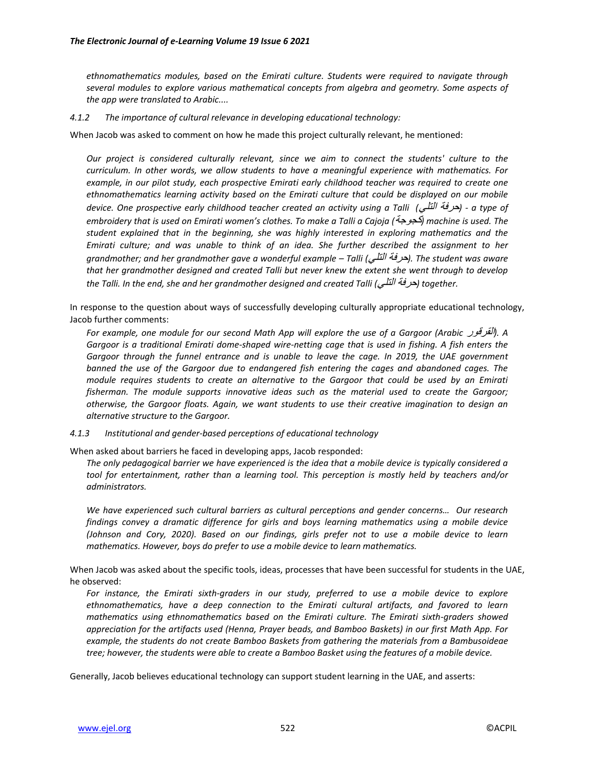*ethnomathematics modules, based on the Emirati culture. Students were required to navigate through several modules to explore various mathematical concepts from algebra and geometry. Some aspects of the app were translated to Arabic....*

#### *4.1.2 The importance of cultural relevance in developing educational technology:*

When Jacob was asked to comment on how he made this project culturally relevant, he mentioned:

*Our project is considered culturally relevant, since we aim to connect the students' culture to the curriculum. In other words, we allow students to have a meaningful experience with mathematics. For example, in our pilot study, each prospective Emirati early childhood teacher was required to create one ethnomathematics learning activity based on the Emirati culture that could be displayed on our mobile device. One prospective early childhood teacher created an activity using a Talli (*التلي حرفة *(- a type of embroidery that is used on Emirati women's clothes. To make a Talli a Cajoja (*كجوجة *(machine is used. The student explained that in the beginning, she was highly interested in exploring mathematics and the Emirati culture; and was unable to think of an idea. She further described the assignment to her grandmother; and her grandmother gave a wonderful example – Talli (*التلي حرفة*(. The student was aware that her grandmother designed and created Talli but never knew the extent she went through to develop the Talli. In the end, she and her grandmother designed and created Talli (*التلي حرفة *(together.*

In response to the question about ways of successfully developing culturally appropriate educational technology, Jacob further comments:

*For example, one module for our second Math App will explore the use of a Gargoor (Arabic* القرقور*(. A Gargoor is a traditional Emirati dome-shaped wire-netting cage that is used in fishing. A fish enters the Gargoor through the funnel entrance and is unable to leave the cage. In 2019, the UAE government banned the use of the Gargoor due to endangered fish entering the cages and abandoned cages. The module requires students to create an alternative to the Gargoor that could be used by an Emirati fisherman. The module supports innovative ideas such as the material used to create the Gargoor; otherwise, the Gargoor floats. Again, we want students to use their creative imagination to design an alternative structure to the Gargoor.*

*4.1.3 Institutional and gender-based perceptions of educational technology*

When asked about barriers he faced in developing apps, Jacob responded:

*The only pedagogical barrier we have experienced is the idea that a mobile device is typically considered a tool for entertainment, rather than a learning tool. This perception is mostly held by teachers and/or administrators.*

*We have experienced such cultural barriers as cultural perceptions and gender concerns… Our research findings convey a dramatic difference for girls and boys learning mathematics using a mobile device (Johnson and Cory, 2020). Based on our findings, girls prefer not to use a mobile device to learn mathematics. However, boys do prefer to use a mobile device to learn mathematics.* 

When Jacob was asked about the specific tools, ideas, processes that have been successful for students in the UAE, he observed:

*For instance, the Emirati sixth-graders in our study, preferred to use a mobile device to explore ethnomathematics, have a deep connection to the Emirati cultural artifacts, and favored to learn mathematics using ethnomathematics based on the Emirati culture. The Emirati sixth-graders showed appreciation for the artifacts used (Henna, Prayer beads, and Bamboo Baskets) in our first Math App. For example, the students do not create Bamboo Baskets from gathering the materials from a Bambusoideae tree; however, the students were able to create a Bamboo Basket using the features of a mobile device.* 

Generally, Jacob believes educational technology can support student learning in the UAE, and asserts: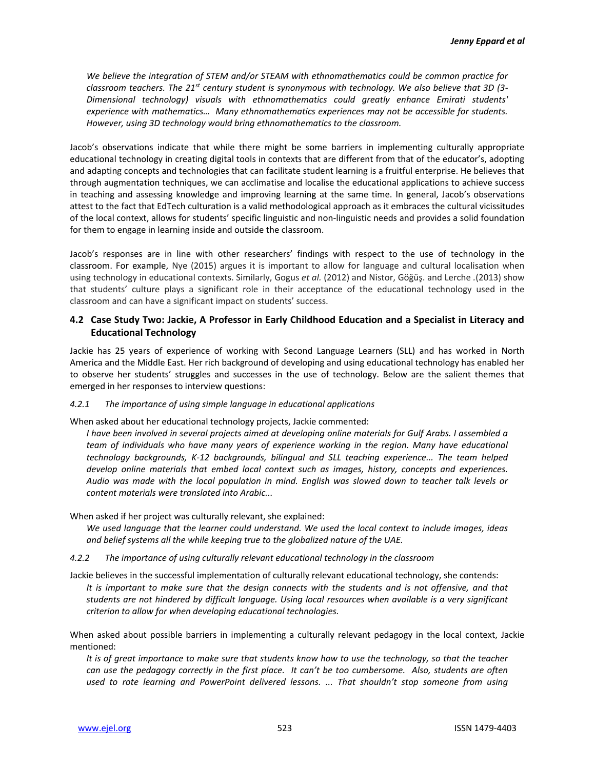*We believe the integration of STEM and/or STEAM with ethnomathematics could be common practice for classroom teachers. The 21st century student is synonymous with technology. We also believe that 3D (3- Dimensional technology) visuals with ethnomathematics could greatly enhance Emirati students' experience with mathematics… Many ethnomathematics experiences may not be accessible for students. However, using 3D technology would bring ethnomathematics to the classroom.*

Jacob's observations indicate that while there might be some barriers in implementing culturally appropriate educational technology in creating digital tools in contexts that are different from that of the educator's, adopting and adapting concepts and technologies that can facilitate student learning is a fruitful enterprise. He believes that through augmentation techniques, we can acclimatise and localise the educational applications to achieve success in teaching and assessing knowledge and improving learning at the same time. In general, Jacob's observations attest to the fact that EdTech culturation is a valid methodological approach as it embraces the cultural vicissitudes of the local context, allows for students' specific linguistic and non-linguistic needs and provides a solid foundation for them to engage in learning inside and outside the classroom.

Jacob's responses are in line with other researchers' findings with respect to the use of technology in the classroom. For example, Nye (2015) argues it is important to allow for language and cultural localisation when using technology in educational contexts. Similarly, Gogus *et al.* (2012) and Nistor, Göğüş. and Lerche *.*(2013) show that students' culture plays a significant role in their acceptance of the educational technology used in the classroom and can have a significant impact on students' success.

#### **4.2 Case Study Two: Jackie, A Professor in Early Childhood Education and a Specialist in Literacy and Educational Technology**

Jackie has 25 years of experience of working with Second Language Learners (SLL) and has worked in North America and the Middle East. Her rich background of developing and using educational technology has enabled her to observe her students' struggles and successes in the use of technology. Below are the salient themes that emerged in her responses to interview questions:

#### *4.2.1 The importance of using simple language in educational applications*

When asked about her educational technology projects, Jackie commented:

*I have been involved in several projects aimed at developing online materials for Gulf Arabs. I assembled a team of individuals who have many years of experience working in the region. Many have educational technology backgrounds, K-12 backgrounds, bilingual and SLL teaching experience... The team helped develop online materials that embed local context such as images, history, concepts and experiences. Audio was made with the local population in mind. English was slowed down to teacher talk levels or content materials were translated into Arabic...* 

When asked if her project was culturally relevant, she explained:

*We used language that the learner could understand. We used the local context to include images, ideas and belief systems all the while keeping true to the globalized nature of the UAE.*

#### *4.2.2 The importance of using culturally relevant educational technology in the classroom*

Jackie believes in the successful implementation of culturally relevant educational technology, she contends: *It is important to make sure that the design connects with the students and is not offensive, and that students are not hindered by difficult language. Using local resources when available is a very significant criterion to allow for when developing educational technologies.* 

When asked about possible barriers in implementing a culturally relevant pedagogy in the local context, Jackie mentioned:

*It is of great importance to make sure that students know how to use the technology, so that the teacher can use the pedagogy correctly in the first place. It can't be too cumbersome. Also, students are often used to rote learning and PowerPoint delivered lessons. ... That shouldn't stop someone from using*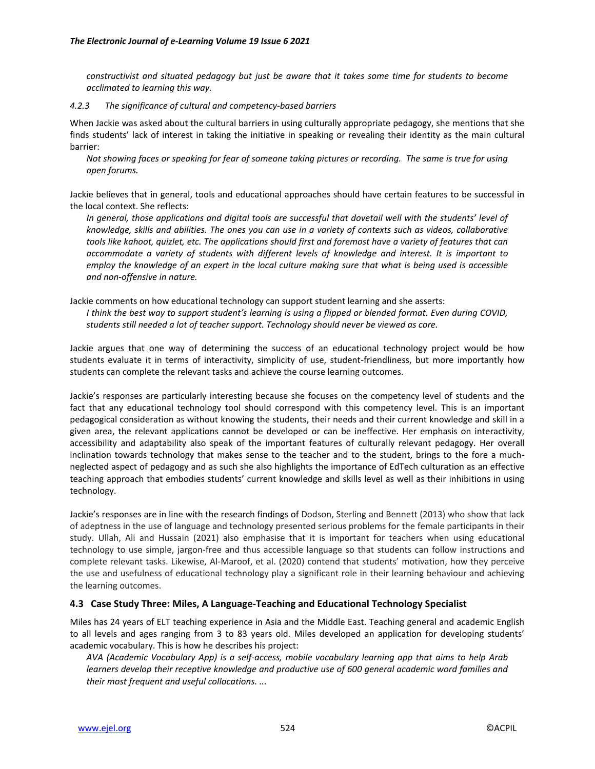*constructivist and situated pedagogy but just be aware that it takes some time for students to become acclimated to learning this way.*

#### *4.2.3 The significance of cultural and competency-based barriers*

When Jackie was asked about the cultural barriers in using culturally appropriate pedagogy, she mentions that she finds students' lack of interest in taking the initiative in speaking or revealing their identity as the main cultural barrier:

*Not showing faces or speaking for fear of someone taking pictures or recording. The same is true for using open forums.*

Jackie believes that in general, tools and educational approaches should have certain features to be successful in the local context. She reflects:

*In general, those applications and digital tools are successful that dovetail well with the students' level of knowledge, skills and abilities. The ones you can use in a variety of contexts such as videos, collaborative tools like kahoot, quizlet, etc. The applications should first and foremost have a variety of features that can accommodate a variety of students with different levels of knowledge and interest. It is important to employ the knowledge of an expert in the local culture making sure that what is being used is accessible and non-offensive in nature.* 

Jackie comments on how educational technology can support student learning and she asserts:

*I think the best way to support student's learning is using a flipped or blended format. Even during COVID, students still needed a lot of teacher support. Technology should never be viewed as core.*

Jackie argues that one way of determining the success of an educational technology project would be how students evaluate it in terms of interactivity, simplicity of use, student-friendliness, but more importantly how students can complete the relevant tasks and achieve the course learning outcomes.

Jackie's responses are particularly interesting because she focuses on the competency level of students and the fact that any educational technology tool should correspond with this competency level. This is an important pedagogical consideration as without knowing the students, their needs and their current knowledge and skill in a given area, the relevant applications cannot be developed or can be ineffective. Her emphasis on interactivity, accessibility and adaptability also speak of the important features of culturally relevant pedagogy. Her overall inclination towards technology that makes sense to the teacher and to the student, brings to the fore a muchneglected aspect of pedagogy and as such she also highlights the importance of EdTech culturation as an effective teaching approach that embodies students' current knowledge and skills level as well as their inhibitions in using technology.

Jackie's responses are in line with the research findings of Dodson, Sterling and Bennett (2013) who show that lack of adeptness in the use of language and technology presented serious problems for the female participants in their study. Ullah, Ali and Hussain (2021) also emphasise that it is important for teachers when using educational technology to use simple, jargon-free and thus accessible language so that students can follow instructions and complete relevant tasks. Likewise, Al-Maroof, et al. (2020) contend that students' motivation, how they perceive the use and usefulness of educational technology play a significant role in their learning behaviour and achieving the learning outcomes.

#### **4.3 Case Study Three: Miles, A Language-Teaching and Educational Technology Specialist**

Miles has 24 years of ELT teaching experience in Asia and the Middle East. Teaching general and academic English to all levels and ages ranging from 3 to 83 years old. Miles developed an application for developing students' academic vocabulary. This is how he describes his project:

*AVA (Academic Vocabulary App) is a self-access, mobile vocabulary learning app that aims to help Arab learners develop their receptive knowledge and productive use of 600 general academic word families and their most frequent and useful collocations. ...*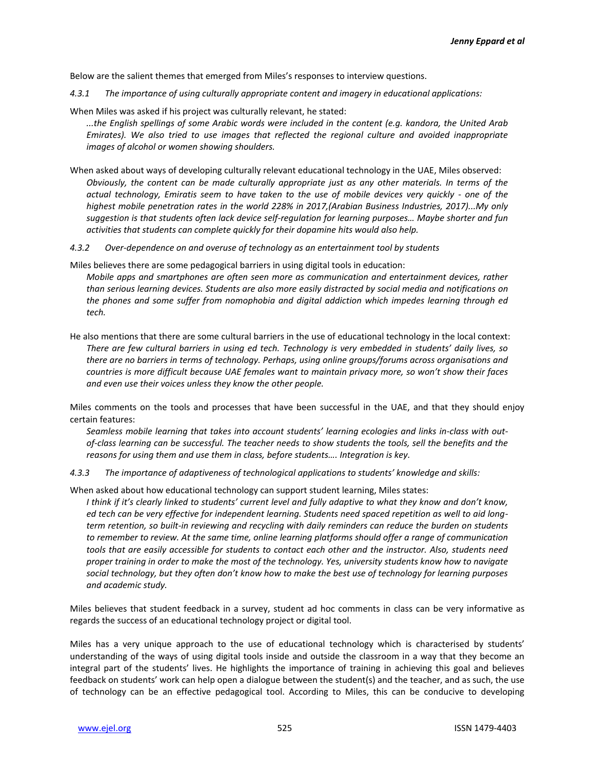Below are the salient themes that emerged from Miles's responses to interview questions.

- *4.3.1 The importance of using culturally appropriate content and imagery in educational applications:*
- When Miles was asked if his project was culturally relevant, he stated:

*...the English spellings of some Arabic words were included in the content (e.g. kandora, the United Arab Emirates). We also tried to use images that reflected the regional culture and avoided inappropriate images of alcohol or women showing shoulders.*

- When asked about ways of developing culturally relevant educational technology in the UAE, Miles observed: *Obviously, the content can be made culturally appropriate just as any other materials. In terms of the actual technology, Emiratis seem to have taken to the use of mobile devices very quickly - one of the highest mobile penetration rates in the world 228% in 2017,(Arabian Business Industries, 2017)...My only suggestion is that students often lack device self-regulation for learning purposes… Maybe shorter and fun activities that students can complete quickly for their dopamine hits would also help.*
- *4.3.2 Over-dependence on and overuse of technology as an entertainment tool by students*

Miles believes there are some pedagogical barriers in using digital tools in education:

*Mobile apps and smartphones are often seen more as communication and entertainment devices, rather than serious learning devices. Students are also more easily distracted by social media and notifications on the phones and some suffer from nomophobia and digital addiction which impedes learning through ed tech.*

He also mentions that there are some cultural barriers in the use of educational technology in the local context: *There are few cultural barriers in using ed tech. Technology is very embedded in students' daily lives, so there are no barriers in terms of technology. Perhaps, using online groups/forums across organisations and countries is more difficult because UAE females want to maintain privacy more, so won't show their faces and even use their voices unless they know the other people.* 

Miles comments on the tools and processes that have been successful in the UAE, and that they should enjoy certain features:

*Seamless mobile learning that takes into account students' learning ecologies and links in-class with outof-class learning can be successful. The teacher needs to show students the tools, sell the benefits and the reasons for using them and use them in class, before students…. Integration is key.*

*4.3.3 The importance of adaptiveness of technological applications to students' knowledge and skills:*

When asked about how educational technology can support student learning, Miles states:

*I think if it's clearly linked to students' current level and fully adaptive to what they know and don't know, ed tech can be very effective for independent learning. Students need spaced repetition as well to aid longterm retention, so built-in reviewing and recycling with daily reminders can reduce the burden on students to remember to review. At the same time, online learning platforms should offer a range of communication tools that are easily accessible for students to contact each other and the instructor. Also, students need proper training in order to make the most of the technology. Yes, university students know how to navigate social technology, but they often don't know how to make the best use of technology for learning purposes and academic study.*

Miles believes that student feedback in a survey, student ad hoc comments in class can be very informative as regards the success of an educational technology project or digital tool.

Miles has a very unique approach to the use of educational technology which is characterised by students' understanding of the ways of using digital tools inside and outside the classroom in a way that they become an integral part of the students' lives. He highlights the importance of training in achieving this goal and believes feedback on students' work can help open a dialogue between the student(s) and the teacher, and as such, the use of technology can be an effective pedagogical tool. According to Miles, this can be conducive to developing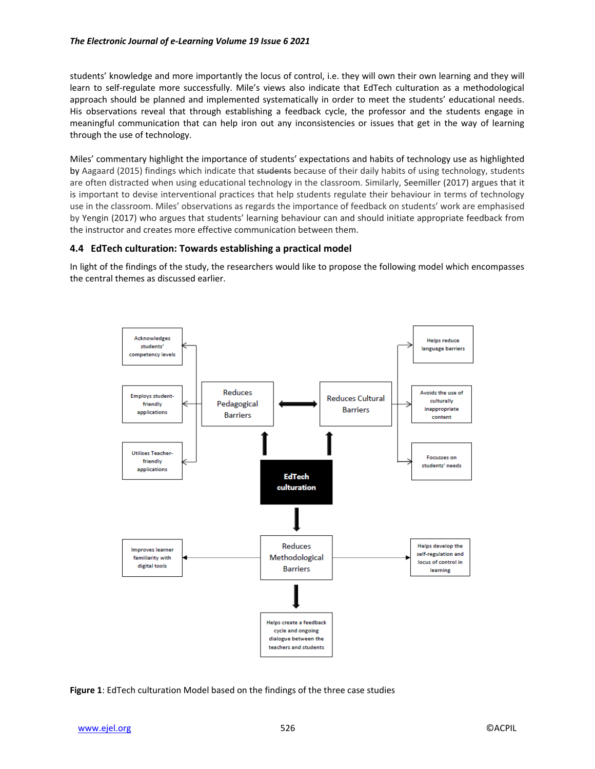#### *The Electronic Journal of e-Learning Volume 19 Issue 6 2021*

students' knowledge and more importantly the locus of control, i.e. they will own their own learning and they will learn to self-regulate more successfully. Mile's views also indicate that EdTech culturation as a methodological approach should be planned and implemented systematically in order to meet the students' educational needs. His observations reveal that through establishing a feedback cycle, the professor and the students engage in meaningful communication that can help iron out any inconsistencies or issues that get in the way of learning through the use of technology.

Miles' commentary highlight the importance of students' expectations and habits of technology use as highlighted by Aagaard (2015) findings which indicate that students because of their daily habits of using technology, students are often distracted when using educational technology in the classroom. Similarly, Seemiller (2017) argues that it is important to devise interventional practices that help students regulate their behaviour in terms of technology use in the classroom. Miles' observations as regards the importance of feedback on students' work are emphasised by Yengin (2017) who argues that students' learning behaviour can and should initiate appropriate feedback from the instructor and creates more effective communication between them.

## **4.4 EdTech culturation: Towards establishing a practical model**

In light of the findings of the study, the researchers would like to propose the following model which encompasses the central themes as discussed earlier.



**Figure 1**: EdTech culturation Model based on the findings of the three case studies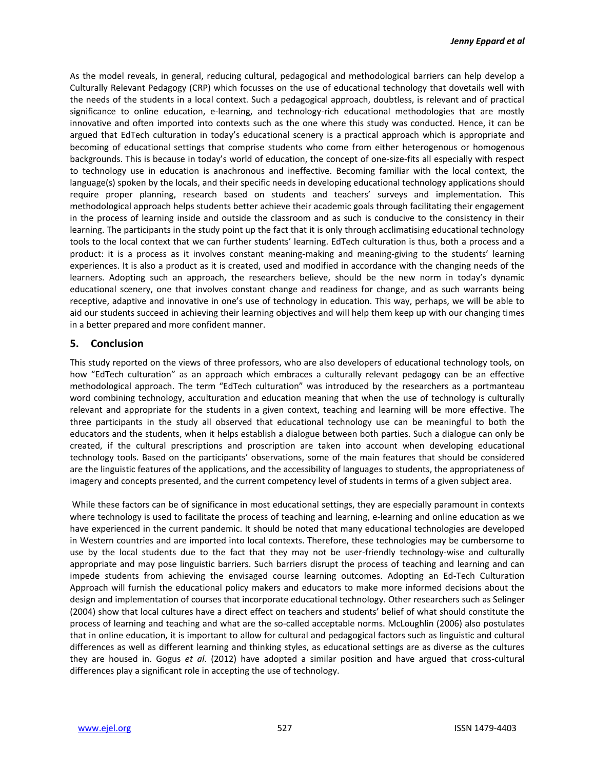As the model reveals, in general, reducing cultural, pedagogical and methodological barriers can help develop a Culturally Relevant Pedagogy (CRP) which focusses on the use of educational technology that dovetails well with the needs of the students in a local context. Such a pedagogical approach, doubtless, is relevant and of practical significance to online education, e-learning, and technology-rich educational methodologies that are mostly innovative and often imported into contexts such as the one where this study was conducted. Hence, it can be argued that EdTech culturation in today's educational scenery is a practical approach which is appropriate and becoming of educational settings that comprise students who come from either heterogenous or homogenous backgrounds. This is because in today's world of education, the concept of one-size-fits all especially with respect to technology use in education is anachronous and ineffective. Becoming familiar with the local context, the language(s) spoken by the locals, and their specific needs in developing educational technology applications should require proper planning, research based on students and teachers' surveys and implementation. This methodological approach helps students better achieve their academic goals through facilitating their engagement in the process of learning inside and outside the classroom and as such is conducive to the consistency in their learning. The participants in the study point up the fact that it is only through acclimatising educational technology tools to the local context that we can further students' learning. EdTech culturation is thus, both a process and a product: it is a process as it involves constant meaning-making and meaning-giving to the students' learning experiences. It is also a product as it is created, used and modified in accordance with the changing needs of the learners. Adopting such an approach, the researchers believe, should be the new norm in today's dynamic educational scenery, one that involves constant change and readiness for change, and as such warrants being receptive, adaptive and innovative in one's use of technology in education. This way, perhaps, we will be able to aid our students succeed in achieving their learning objectives and will help them keep up with our changing times in a better prepared and more confident manner.

## **5. Conclusion**

This study reported on the views of three professors, who are also developers of educational technology tools, on how "EdTech culturation" as an approach which embraces a culturally relevant pedagogy can be an effective methodological approach. The term "EdTech culturation" was introduced by the researchers as a portmanteau word combining technology, acculturation and education meaning that when the use of technology is culturally relevant and appropriate for the students in a given context, teaching and learning will be more effective. The three participants in the study all observed that educational technology use can be meaningful to both the educators and the students, when it helps establish a dialogue between both parties. Such a dialogue can only be created, if the cultural prescriptions and proscription are taken into account when developing educational technology tools. Based on the participants' observations, some of the main features that should be considered are the linguistic features of the applications, and the accessibility of languages to students, the appropriateness of imagery and concepts presented, and the current competency level of students in terms of a given subject area.

While these factors can be of significance in most educational settings, they are especially paramount in contexts where technology is used to facilitate the process of teaching and learning, e-learning and online education as we have experienced in the current pandemic. It should be noted that many educational technologies are developed in Western countries and are imported into local contexts. Therefore, these technologies may be cumbersome to use by the local students due to the fact that they may not be user-friendly technology-wise and culturally appropriate and may pose linguistic barriers. Such barriers disrupt the process of teaching and learning and can impede students from achieving the envisaged course learning outcomes. Adopting an Ed-Tech Culturation Approach will furnish the educational policy makers and educators to make more informed decisions about the design and implementation of courses that incorporate educational technology. Other researchers such as Selinger (2004) show that local cultures have a direct effect on teachers and students' belief of what should constitute the process of learning and teaching and what are the so-called acceptable norms. McLoughlin (2006) also postulates that in online education, it is important to allow for cultural and pedagogical factors such as linguistic and cultural differences as well as different learning and thinking styles, as educational settings are as diverse as the cultures they are housed in. Gogus *et al*. (2012) have adopted a similar position and have argued that cross-cultural differences play a significant role in accepting the use of technology.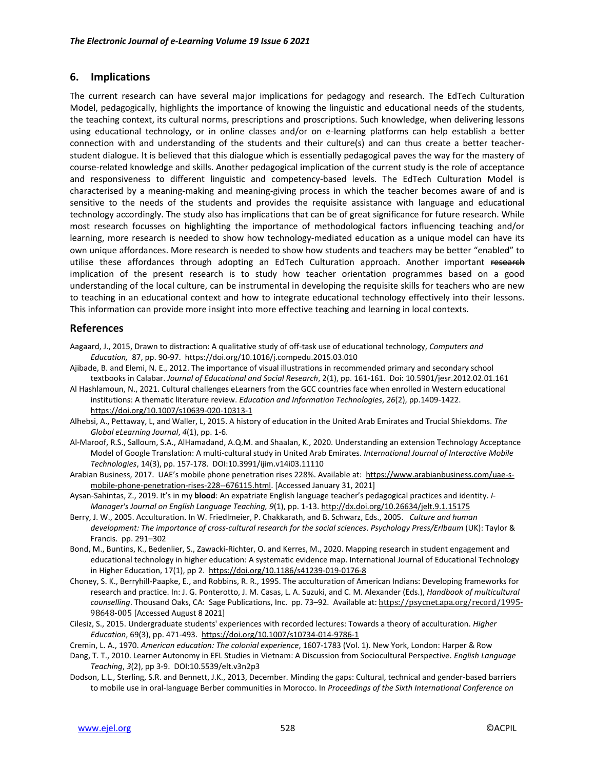## **6. Implications**

The current research can have several major implications for pedagogy and research. The EdTech Culturation Model, pedagogically, highlights the importance of knowing the linguistic and educational needs of the students, the teaching context, its cultural norms, prescriptions and proscriptions. Such knowledge, when delivering lessons using educational technology, or in online classes and/or on e-learning platforms can help establish a better connection with and understanding of the students and their culture(s) and can thus create a better teacherstudent dialogue. It is believed that this dialogue which is essentially pedagogical paves the way for the mastery of course-related knowledge and skills. Another pedagogical implication of the current study is the role of acceptance and responsiveness to different linguistic and competency-based levels. The EdTech Culturation Model is characterised by a meaning-making and meaning-giving process in which the teacher becomes aware of and is sensitive to the needs of the students and provides the requisite assistance with language and educational technology accordingly. The study also has implications that can be of great significance for future research. While most research focusses on highlighting the importance of methodological factors influencing teaching and/or learning, more research is needed to show how technology-mediated education as a unique model can have its own unique affordances. More research is needed to show how students and teachers may be better "enabled" to utilise these affordances through adopting an EdTech Culturation approach. Another important research implication of the present research is to study how teacher orientation programmes based on a good understanding of the local culture, can be instrumental in developing the requisite skills for teachers who are new to teaching in an educational context and how to integrate educational technology effectively into their lessons. This information can provide more insight into more effective teaching and learning in local contexts.

## **References**

- Aagaard, J., 2015, Drawn to distraction: A qualitative study of off-task use of educational technology, *Computers and Education,* 87, pp. 90-97.<https://doi.org/10.1016/j.compedu.2015.03.010>
- Ajibade, B. and Elemi, N. E., 2012. The importance of visual illustrations in recommended primary and secondary school textbooks in Calabar. *Journal of Educational and Social Research*, 2(1), pp. 161-161. Doi: 10.5901/jesr.2012.02.01.161
- Al Hashlamoun, N., 2021. Cultural challenges eLearners from the GCC countries face when enrolled in Western educational institutions: A thematic literature review. *Education and Information Technologies*, *26*(2), pp.1409-1422. https://doi.org/10.1007/s10639-020-10313-1
- Alhebsi, A., Pettaway, L, and Waller, L, 2015. A history of education in the United Arab Emirates and Trucial Shiekdoms. *The Global eLearning Journal*, *4*(1), pp. 1-6.
- Al-Maroof, R.S., Salloum, S.A., AlHamadand, A.Q.M. and Shaalan, K., 2020. Understanding an extension Technology Acceptance Model of Google Translation: A multi-cultural study in United Arab Emirates. *International Journal of Interactive Mobile Technologies*, 14(3), pp. 157-178. DOI[:10.3991/ijim.v14i03.11110](http://dx.doi.org/10.3991/ijim.v14i03.11110)
- Arabian Business, 2017. UAE's mobile phone penetration rises 228%. Available at: [https://www.arabianbusiness.com/uae-s](https://www.arabianbusiness.com/uae-s-mobile-phone-penetration-rises-228--676115.html)[mobile-phone-penetration-rises-228--676115.html.](https://www.arabianbusiness.com/uae-s-mobile-phone-penetration-rises-228--676115.html) [Accessed January 31, 2021]
- Aysan-Sahintas, Z., 2019. It's in my **blood**: An expatriate English language teacher's pedagogical practices and identity. *I-Manager's Journal on English Language Teaching, 9*(1), pp. 1-13[. http://dx.doi.org/10.26634/jelt.9.1.15175](http://dx.doi.org/10.26634/jelt.9.1.15175)
- Berry, J. W., 2005. Acculturation. In W. Friedlmeier, P. Chakkarath, and B. Schwarz, Eds., 2005. *Culture and human development: The importance of cross-cultural research for the social sciences*. *Psychology Press/Erlbaum* (UK): Taylor & Francis. pp. 291–302
- Bond, M., Buntins, K., Bedenlier, S., Zawacki-Richter, O. and Kerres, M., 2020. Mapping research in student engagement and educational technology in higher education: A systematic evidence map. International Journal of Educational Technology in Higher Education, 17(1), pp 2. <https://doi.org/10.1186/s41239-019-0176-8>
- Choney, S. K., Berryhill-Paapke, E., and Robbins, R. R., 1995. The acculturation of American Indians: Developing frameworks for research and practice. In: J. G. Ponterotto, J. M. Casas, L. A. Suzuki, and C. M. Alexander (Eds.), *Handbook of multicultural counselling*. Thousand Oaks, CA: Sage Publications, Inc. pp. 73–92. Available at: [https://psycnet.apa.org/record/1995-](https://psycnet.apa.org/record/1995-98648-005) [98648-005](https://psycnet.apa.org/record/1995-98648-005) [Accessed August 8 2021]
- Cilesiz, S., 2015. Undergraduate students' experiences with recorded lectures: Towards a theory of acculturation. *Higher Education*, 69(3), pp. 471-493.<https://doi.org/10.1007/s10734-014-9786-1>

Cremin, L. A., 1970. *American education: The colonial experience*, 1607-1783 (Vol. 1). New York, London: Harper & Row

- Dang, T. T., 2010. Learner Autonomy in EFL Studies in Vietnam: A Discussion from Sociocultural Perspective. *English Language Teaching*, *3*(2), pp 3-9. DOI[:10.5539/elt.v3n2p3](https://doi.org/10.5539/elt.v3n2p3)
- Dodson, L.L., Sterling, S.R. and Bennett, J.K., 2013, December. Minding the gaps: Cultural, technical and gender-based barriers to mobile use in oral-language Berber communities in Morocco. In *Proceedings of the Sixth International Conference on*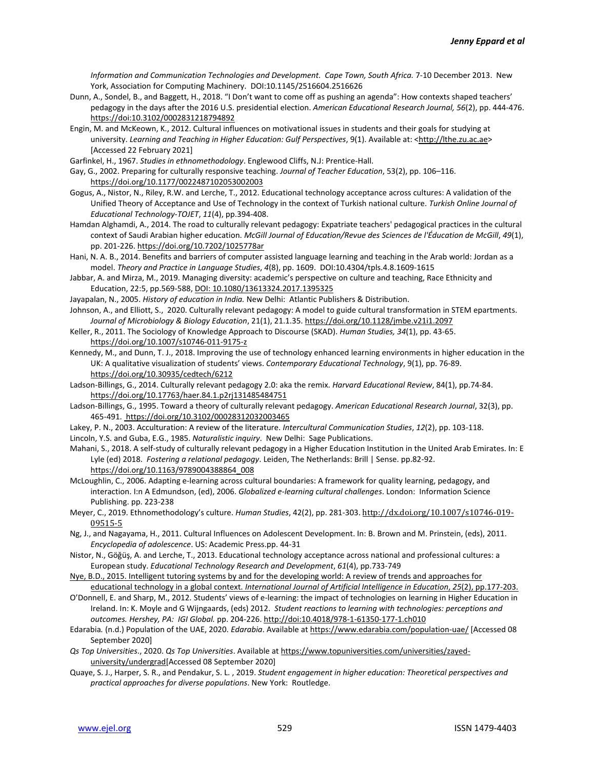*Information and Communication Technologies and Development. Cape Town, South Africa.* 7-10 December 2013. New York, Association for Computing Machinery. DOI[:10.1145/2516604.2516626](http://dx.doi.org/10.1145/2516604.2516626)

Dunn, A., Sondel, B., and Baggett, H., 2018. "I Don't want to come off as pushing an agenda": How contexts shaped teachers' pedagogy in the days after the 2016 U.S. presidential election. *American Educational Research Journal, 56*(2), pp. 444-476. [https://doi:10.3102/0002831218794892](about:blank)

Engin, M. and McKeown, K., 2012. Cultural influences on motivational issues in students and their goals for studying at university. Learning and Teaching in Higher Education: Gulf Perspectives, 9(1). Available at: [<http://lthe.zu.ac.ae>](http://lthe.zu.ac.ae/) [Accessed 22 February 2021]

Garfinkel, H., 1967. *Studies in ethnomethodology*. Englewood Cliffs, N.J: Prentice-Hall.

Gay, G., 2002. Preparing for culturally responsive teaching. *Journal of Teacher Education*, 53(2), pp. 106–116. [https://doi.org/10.1177/0022487102053002003](https://doi.org/10.1177%2F0022487102053002003)

Gogus, A., Nistor, N., Riley, R.W. and Lerche, T., 2012. Educational technology acceptance across cultures: A validation of the Unified Theory of Acceptance and Use of Technology in the context of Turkish national culture. *Turkish Online Journal of Educational Technology-TOJET*, *11*(4), pp.394-408.

Hamdan Alghamdi, A., 2014. The road to culturally relevant pedagogy: Expatriate teachers' pedagogical practices in the cultural context of Saudi Arabian higher education. *McGill Journal of Education/Revue des Sciences de l'Éducation de McGill*, *49*(1), pp. 201-226. <https://doi.org/10.7202/1025778ar>

Hani, N. A. B., 2014. Benefits and barriers of computer assisted language learning and teaching in the Arab world: Jordan as a model. *Theory and Practice in Language Studies*, *4*(8), pp. 1609. DO[I:10.4304/tpls.4.8.1609-1615](http://dx.doi.org/10.4304/tpls.4.8.1609-1615)

```
Jabbar, A. and Mirza, M., 2019. Managing diversity: academic's perspective on culture and teaching, Race Ethnicity and 
Education, 22:5, pp.569-588, DOI: 10.1080/13613324.2017.1395325
```
Jayapalan, N., 2005. *History of education in India.* New Delhi: Atlantic Publishers & Distribution.

Johnson, A., and Elliott, S., 2020. Culturally relevant pedagogy: A model to guide cultural transformation in STEM epartments. *Journal of Microbiology & Biology Education*, 21(1), 21.1.35.<https://doi.org/10.1128/jmbe.v21i1.2097>

Keller, R., 2011. The Sociology of Knowledge Approach to Discourse (SKAD). *Human Studies, 34*(1), pp. 43-65. <https://doi.org/10.1007/s10746-011-9175-z>

Kennedy, M., and Dunn, T. J., 2018. Improving the use of technology enhanced learning environments in higher education in the UK: A qualitative visualization of students' views. *Contemporary Educational Technology*, 9(1), pp. 76-89. <https://doi.org/10.30935/cedtech/6212>

Ladson-Billings, G., 2014. Culturally relevant pedagogy 2.0: aka the remix. *Harvard Educational Review*, 84(1), pp.74-84. <https://doi.org/10.17763/haer.84.1.p2rj131485484751>

- Ladson-Billings, G., 1995. Toward a theory of culturally relevant pedagogy. *American Educational Research Journal*, 32(3), pp. 465-491. [https://doi.org/10.3102/00028312032003465](https://doi.org/10.3102%2F00028312032003465)
- Lakey, P. N., 2003. Acculturation: A review of the literature. *Intercultural Communication Studies*, *12*(2), pp. 103-118.

Lincoln, Y.S. and Guba, E.G., 1985. *Naturalistic inquiry*. New Delhi: Sage Publications.

Mahani, S., 2018. A self-study of culturally relevant pedagogy in a Higher Education Institution in the United Arab Emirates. In: E Lyle (ed) 2018. *Fostering a relational pedagogy*. Leiden, The Netherlands: Brill | Sense. pp.82-92. [https://doi.org/10.1163/9789004388864\\_008](https://doi.org/10.1163/9789004388864_008)

McLoughlin, C., 2006. Adapting e-learning across cultural boundaries: A framework for quality learning, pedagogy, and interaction. I:n A Edmundson, (ed), 2006. *Globalized e-learning cultural challenges*. London: Information Science Publishing. pp. 223-238

Meyer, C., 2019. Ethnomethodology's culture. *Human Studies*, 42(2), pp. 281-303. [http://dx.doi.org/10.1007/s10746-019-](http://dx.doi.org/10.1007/s10746-019-09515-5) [09515-5](http://dx.doi.org/10.1007/s10746-019-09515-5)

Ng, J., and Nagayama, H., 2011. Cultural Influences on Adolescent Development. In: B. Brown and M. Prinstein, (eds), 2011. *Encyclopedia of adolescence*. US: Academic Press.pp. 44-31

Nistor, N., Göğüş, A. and Lerche, T., 2013. Educational technology acceptance across national and professional cultures: a European study. *Educational Technology Research and Development*, *61*(4), pp.733-749

Nye, B.D., 2015. Intelligent tutoring systems by and for the developing world: A review of trends and approaches for educational technology in a global context. *International Journal of Artificial Intelligence in Education*, *25*(2), pp.177-203.

- O'Donnell, E. and Sharp, M., 2012. Students' views of e-learning: the impact of technologies on learning in Higher Education in Ireland. In: K. Moyle and G Wijngaards, (eds) 2012. *Student reactions to learning with technologies: perceptions and outcomes. Hershey, PA: IGI Global.* pp. 204-226[. http://doi:10.4018/978-1-61350-177-1.ch010](about:blank)
- Edarabia*.* (n.d.) Population of the UAE, 2020. *Edarabia*. Available a[t https://www.edarabia.com/population-uae/](https://www.edarabia.com/population-uae/) [Accessed 08 September 2020]

*Qs Top Universities*., 2020. *Qs Top Universities*. Available a[t https://www.topuniversities.com/universities/zayed](https://www.topuniversities.com/universities/zayed-university/undergrad)[university/undergrad\[](https://www.topuniversities.com/universities/zayed-university/undergrad)Accessed 08 September 2020]

Quaye, S. J., Harper, S. R., and Pendakur, S. L. , 2019. *Student engagement in higher education: Theoretical perspectives and practical approaches for diverse populations*. New York: Routledge.